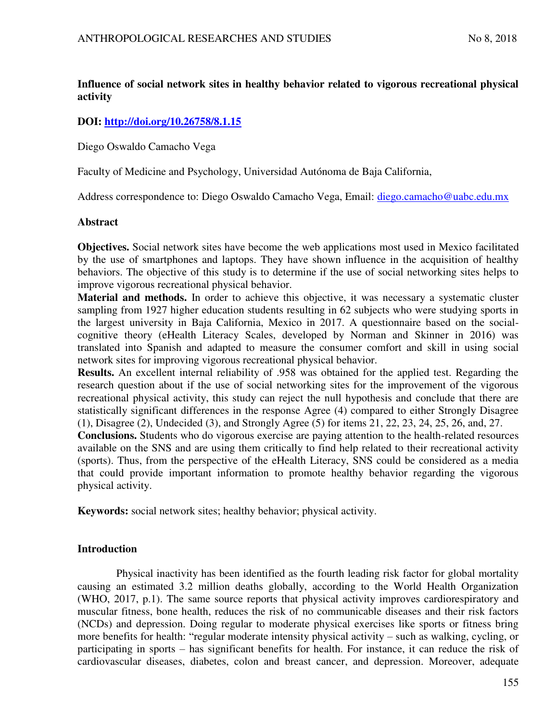# **Influence of social network sites in healthy behavior related to vigorous recreational physical activity**

# **DOI:<http://doi.org/10.26758/8.1.15>**

Diego Oswaldo Camacho Vega

Faculty of Medicine and Psychology, Universidad Autónoma de Baja California,

Address correspondence to: Diego Oswaldo Camacho Vega, Email: [diego.camacho@uabc.edu.mx](mailto:diego.camacho@uabc.edu.mx)

# **Abstract**

**Objectives.** Social network sites have become the web applications most used in Mexico facilitated by the use of smartphones and laptops. They have shown influence in the acquisition of healthy behaviors. The objective of this study is to determine if the use of social networking sites helps to improve vigorous recreational physical behavior.

**Material and methods.** In order to achieve this objective, it was necessary a systematic cluster sampling from 1927 higher education students resulting in 62 subjects who were studying sports in the largest university in Baja California, Mexico in 2017. A questionnaire based on the socialcognitive theory (eHealth Literacy Scales, developed by Norman and Skinner in 2016) was translated into Spanish and adapted to measure the consumer comfort and skill in using social network sites for improving vigorous recreational physical behavior.

**Results.** An excellent internal reliability of .958 was obtained for the applied test. Regarding the research question about if the use of social networking sites for the improvement of the vigorous recreational physical activity, this study can reject the null hypothesis and conclude that there are statistically significant differences in the response Agree (4) compared to either Strongly Disagree (1), Disagree (2), Undecided (3), and Strongly Agree (5) for items 21, 22, 23, 24, 25, 26, and, 27.

**Conclusions.** Students who do vigorous exercise are paying attention to the health-related resources available on the SNS and are using them critically to find help related to their recreational activity (sports). Thus, from the perspective of the eHealth Literacy, SNS could be considered as a media that could provide important information to promote healthy behavior regarding the vigorous physical activity.

**Keywords:** social network sites; healthy behavior; physical activity.

# **Introduction**

Physical inactivity has been identified as the fourth leading risk factor for global mortality causing an estimated 3.2 million deaths globally, according to the World Health Organization (WHO, 2017, p.1). The same source reports that physical activity improves cardiorespiratory and muscular fitness, bone health, reduces the risk of no communicable diseases and their risk factors (NCDs) and depression. Doing regular to moderate physical exercises like sports or fitness bring more benefits for health: "regular moderate intensity physical activity – such as walking, cycling, or participating in sports – has significant benefits for health. For instance, it can reduce the risk of cardiovascular diseases, diabetes, colon and breast cancer, and depression. Moreover, adequate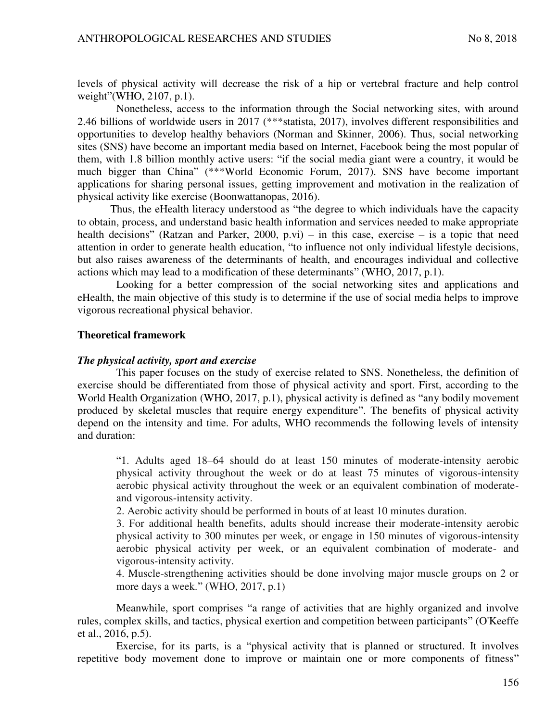levels of physical activity will decrease the risk of a hip or vertebral fracture and help control weight"(WHO, 2107, p.1).

Nonetheless, access to the information through the Social networking sites, with around 2.46 billions of worldwide users in 2017 (\*\*\*statista, 2017), involves different responsibilities and opportunities to develop healthy behaviors (Norman and Skinner, 2006). Thus, social networking sites (SNS) have become an important media based on Internet, Facebook being the most popular of them, with 1.8 billion monthly active users: "if the social media giant were a country, it would be much bigger than China" (\*\*\*World Economic Forum, 2017). SNS have become important applications for sharing personal issues, getting improvement and motivation in the realization of physical activity like exercise (Boonwattanopas, 2016).

Thus, the eHealth literacy understood as "the degree to which individuals have the capacity to obtain, process, and understand basic health information and services needed to make appropriate health decisions" (Ratzan and Parker, 2000, p.vi) – in this case, exercise – is a topic that need attention in order to generate health education, "to influence not only individual lifestyle decisions, but also raises awareness of the determinants of health, and encourages individual and collective actions which may lead to a modification of these determinants" (WHO, 2017, p.1).

Looking for a better compression of the social networking sites and applications and eHealth, the main objective of this study is to determine if the use of social media helps to improve vigorous recreational physical behavior.

#### **Theoretical framework**

#### *The physical activity, sport and exercise*

This paper focuses on the study of exercise related to SNS. Nonetheless, the definition of exercise should be differentiated from those of physical activity and sport. First, according to the World Health Organization (WHO, 2017, p.1), physical activity is defined as "any bodily movement produced by skeletal muscles that require energy expenditure". The benefits of physical activity depend on the intensity and time. For adults, WHO recommends the following levels of intensity and duration:

"1. Adults aged 18–64 should do at least 150 minutes of moderate-intensity aerobic physical activity throughout the week or do at least 75 minutes of vigorous-intensity aerobic physical activity throughout the week or an equivalent combination of moderateand vigorous-intensity activity.

2. Aerobic activity should be performed in bouts of at least 10 minutes duration.

3. For additional health benefits, adults should increase their moderate-intensity aerobic physical activity to 300 minutes per week, or engage in 150 minutes of vigorous-intensity aerobic physical activity per week, or an equivalent combination of moderate- and vigorous-intensity activity.

4. Muscle-strengthening activities should be done involving major muscle groups on 2 or more days a week." (WHO, 2017, p.1)

Meanwhile, sport comprises "a range of activities that are highly organized and involve rules, complex skills, and tactics, physical exertion and competition between participants" (O'Keeffe et al., 2016, p.5).

Exercise, for its parts, is a "physical activity that is planned or structured. It involves repetitive body movement done to improve or maintain one or more components of fitness"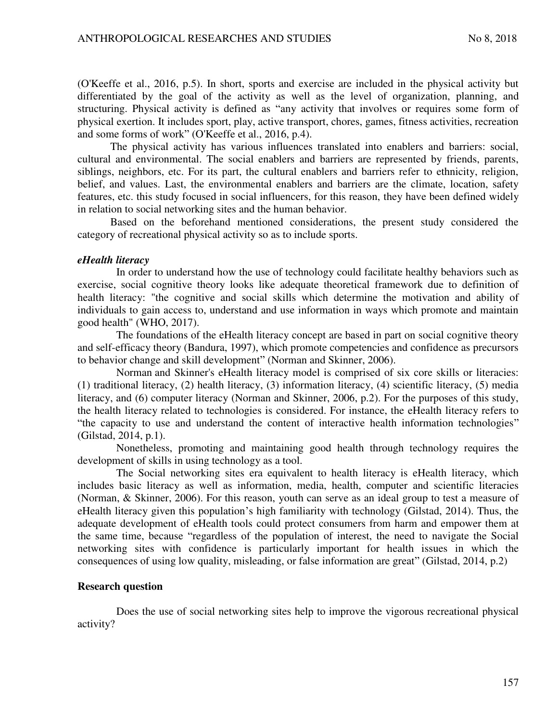(O'Keeffe et al., 2016, p.5). In short, sports and exercise are included in the physical activity but differentiated by the goal of the activity as well as the level of organization, planning, and structuring. Physical activity is defined as "any activity that involves or requires some form of physical exertion. It includes sport, play, active transport, chores, games, fitness activities, recreation and some forms of work" (O'Keeffe et al., 2016, p.4).

The physical activity has various influences translated into enablers and barriers: social, cultural and environmental. The social enablers and barriers are represented by friends, parents, siblings, neighbors, etc. For its part, the cultural enablers and barriers refer to ethnicity, religion, belief, and values. Last, the environmental enablers and barriers are the climate, location, safety features, etc. this study focused in social influencers, for this reason, they have been defined widely in relation to social networking sites and the human behavior.

Based on the beforehand mentioned considerations, the present study considered the category of recreational physical activity so as to include sports.

#### *eHealth literacy*

In order to understand how the use of technology could facilitate healthy behaviors such as exercise, social cognitive theory looks like adequate theoretical framework due to definition of health literacy: "the cognitive and social skills which determine the motivation and ability of individuals to gain access to, understand and use information in ways which promote and maintain good health" (WHO, 2017).

The foundations of the eHealth literacy concept are based in part on social cognitive theory and self-efficacy theory (Bandura, 1997), which promote competencies and confidence as precursors to behavior change and skill development" (Norman and Skinner, 2006).

Norman and Skinner's eHealth literacy model is comprised of six core skills or literacies: (1) traditional literacy, (2) health literacy, (3) information literacy, (4) scientific literacy, (5) media literacy, and (6) computer literacy (Norman and Skinner, 2006, p.2). For the purposes of this study, the health literacy related to technologies is considered. For instance, the eHealth literacy refers to "the capacity to use and understand the content of interactive health information technologies" (Gilstad, 2014, p.1).

Nonetheless, promoting and maintaining good health through technology requires the development of skills in using technology as a tool.

The Social networking sites era equivalent to health literacy is eHealth literacy, which includes basic literacy as well as information, media, health, computer and scientific literacies (Norman, & Skinner, 2006). For this reason, youth can serve as an ideal group to test a measure of eHealth literacy given this population's high familiarity with technology (Gilstad, 2014). Thus, the adequate development of eHealth tools could protect consumers from harm and empower them at the same time, because "regardless of the population of interest, the need to navigate the Social networking sites with confidence is particularly important for health issues in which the consequences of using low quality, misleading, or false information are great" (Gilstad, 2014, p.2)

#### **Research question**

Does the use of social networking sites help to improve the vigorous recreational physical activity?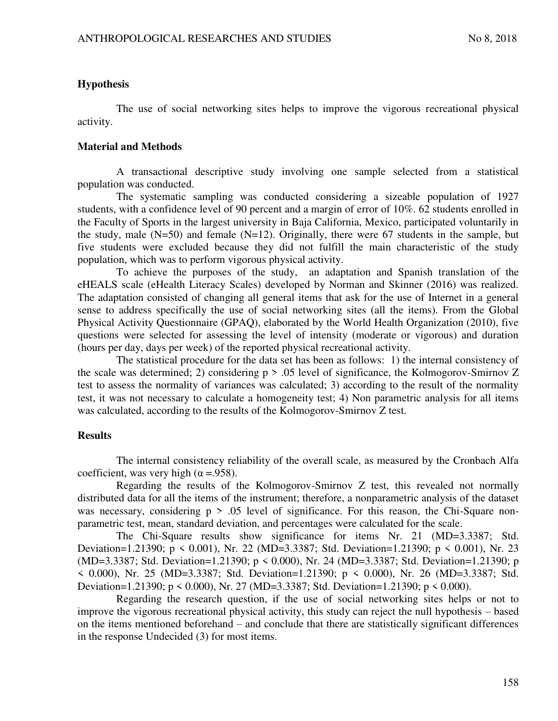# **Hypothesis**

The use of social networking sites helps to improve the vigorous recreational physical activity.

# **Material and Methods**

A transactional descriptive study involving one sample selected from a statistical population was conducted.

The systematic sampling was conducted considering a sizeable population of 1927 students, with a confidence level of 90 percent and a margin of error of 10%. 62 students enrolled in the Faculty of Sports in the largest university in Baja California, Mexico, participated voluntarily in the study, male  $(N=50)$  and female  $(N=12)$ . Originally, there were 67 students in the sample, but five students were excluded because they did not fulfill the main characteristic of the study population, which was to perform vigorous physical activity.

To achieve the purposes of the study, an adaptation and Spanish translation of the eHEALS scale (eHealth Literacy Scales) developed by Norman and Skinner (2016) was realized. The adaptation consisted of changing all general items that ask for the use of Internet in a general sense to address specifically the use of social networking sites (all the items). From the Global Physical Activity Questionnaire (GPAQ), elaborated by the World Health Organization (2010), five questions were selected for assessing the level of intensity (moderate or vigorous) and duration (hours per day, days per week) of the reported physical recreational activity.

The statistical procedure for the data set has been as follows: 1) the internal consistency of the scale was determined; 2) considering p > .05 level of significance, the Kolmogorov-Smirnov Z test to assess the normality of variances was calculated; 3) according to the result of the normality test, it was not necessary to calculate a homogeneity test; 4) Non parametric analysis for all items was calculated, according to the results of the Kolmogorov-Smirnov Z test.

# **Results**

The internal consistency reliability of the overall scale, as measured by the Cronbach Alfa coefficient, was very high ( $\alpha$  =.958).

Regarding the results of the Kolmogorov-Smirnov Z test, this revealed not normally distributed data for all the items of the instrument; therefore, a nonparametric analysis of the dataset was necessary, considering  $p > 0.05$  level of significance. For this reason, the Chi-Square nonparametric test, mean, standard deviation, and percentages were calculated for the scale.

The Chi-Square results show significance for items Nr. 21 (MD=3.3387; Std. Deviation=1.21390; p < 0.001), Nr. 22 (MD=3.3387; Std. Deviation=1.21390; p < 0.001), Nr. 23 (MD=3.3387; Std. Deviation=1.21390; p < 0.000), Nr. 24 (MD=3.3387; Std. Deviation=1.21390; p < 0.000), Nr. 25 (MD=3.3387; Std. Deviation=1.21390; p < 0.000), Nr. 26 (MD=3.3387; Std. Deviation=1.21390; p < 0.000), Nr. 27 (MD=3.3387; Std. Deviation=1.21390; p < 0.000).

Regarding the research question, if the use of social networking sites helps or not to improve the vigorous recreational physical activity, this study can reject the null hypothesis – based on the items mentioned beforehand – and conclude that there are statistically significant differences in the response Undecided (3) for most items.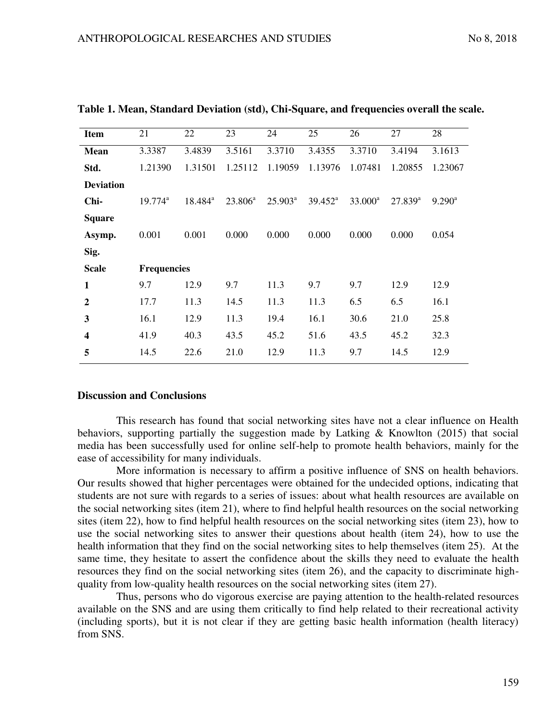| <b>Item</b>      | 21                    | 22         | 23         | 24                  | 25         | 26         | 27           | 28                 |
|------------------|-----------------------|------------|------------|---------------------|------------|------------|--------------|--------------------|
|                  |                       |            |            |                     |            |            |              |                    |
| Mean             | 3.3387                | 3.4839     | 3.5161     | 3.3710              | 3.4355     | 3.3710     | 3.4194       | 3.1613             |
| Std.             | 1.21390               | 1.31501    | 1.25112    | 1.19059             | 1.13976    | 1.07481    | 1.20855      | 1.23067            |
| <b>Deviation</b> |                       |            |            |                     |            |            |              |                    |
| Chi-             | $19.774^{\mathrm{a}}$ | $18.484^a$ | $23.806^a$ | $25.903^{\text{a}}$ | $39.452^a$ | $33.000^a$ | $27.839^{a}$ | $9.290^{\text{a}}$ |
| <b>Square</b>    |                       |            |            |                     |            |            |              |                    |
| Asymp.           | 0.001                 | 0.001      | 0.000      | 0.000               | 0.000      | 0.000      | 0.000        | 0.054              |
| Sig.             |                       |            |            |                     |            |            |              |                    |
| <b>Scale</b>     | <b>Frequencies</b>    |            |            |                     |            |            |              |                    |
| $\mathbf{1}$     | 9.7                   | 12.9       | 9.7        | 11.3                | 9.7        | 9.7        | 12.9         | 12.9               |
| $\overline{2}$   | 17.7                  | 11.3       | 14.5       | 11.3                | 11.3       | 6.5        | 6.5          | 16.1               |
| 3                | 16.1                  | 12.9       | 11.3       | 19.4                | 16.1       | 30.6       | 21.0         | 25.8               |
| $\boldsymbol{4}$ | 41.9                  | 40.3       | 43.5       | 45.2                | 51.6       | 43.5       | 45.2         | 32.3               |
| 5                | 14.5                  | 22.6       | 21.0       | 12.9                | 11.3       | 9.7        | 14.5         | 12.9               |

**Table 1. Mean, Standard Deviation (std), Chi-Square, and frequencies overall the scale.** 

### **Discussion and Conclusions**

This research has found that social networking sites have not a clear influence on Health behaviors, supporting partially the suggestion made by Latking  $\&$  Knowlton (2015) that social media has been successfully used for online self-help to promote health behaviors, mainly for the ease of accessibility for many individuals.

More information is necessary to affirm a positive influence of SNS on health behaviors. Our results showed that higher percentages were obtained for the undecided options, indicating that students are not sure with regards to a series of issues: about what health resources are available on the social networking sites (item 21), where to find helpful health resources on the social networking sites (item 22), how to find helpful health resources on the social networking sites (item 23), how to use the social networking sites to answer their questions about health (item 24), how to use the health information that they find on the social networking sites to help themselves (item 25). At the same time, they hesitate to assert the confidence about the skills they need to evaluate the health resources they find on the social networking sites (item 26), and the capacity to discriminate highquality from low-quality health resources on the social networking sites (item 27).

Thus, persons who do vigorous exercise are paying attention to the health-related resources available on the SNS and are using them critically to find help related to their recreational activity (including sports), but it is not clear if they are getting basic health information (health literacy) from SNS.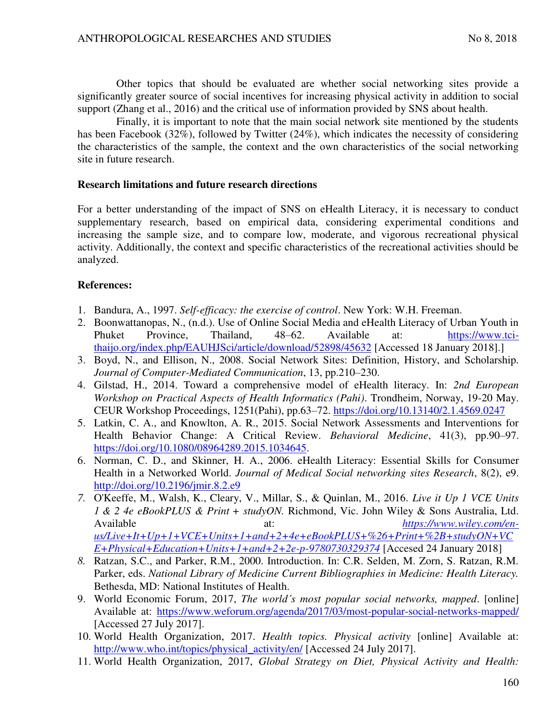Other topics that should be evaluated are whether social networking sites provide a significantly greater source of social incentives for increasing physical activity in addition to social support (Zhang et al., 2016) and the critical use of information provided by SNS about health.

Finally, it is important to note that the main social network site mentioned by the students has been Facebook (32%), followed by Twitter (24%), which indicates the necessity of considering the characteristics of the sample, the context and the own characteristics of the social networking site in future research.

# **Research limitations and future research directions**

For a better understanding of the impact of SNS on eHealth Literacy, it is necessary to conduct supplementary research, based on empirical data, considering experimental conditions and increasing the sample size, and to compare low, moderate, and vigorous recreational physical activity. Additionally, the context and specific characteristics of the recreational activities should be analyzed.

# **References:**

- 1. Bandura, A., 1997. *Self-efficacy: the exercise of control*. New York: W.H. Freeman.
- 2. Boonwattanopas, N., (n.d.). Use of Online Social Media and eHealth Literacy of Urban Youth in Phuket Province, Thailand, 48–62. Available at: [https://www.tci](https://www.tci-thaijo.org/index.php/EAUHJSci/article/download/52898/45632)[thaijo.org/index.php/EAUHJSci/article/download/52898/45632](https://www.tci-thaijo.org/index.php/EAUHJSci/article/download/52898/45632) [Accessed 18 January 2018].]
- 3. Boyd, N., and Ellison, N., 2008. Social Network Sites: Definition, History, and Scholarship. *Journal of Computer-Mediated Communication*, 13, pp.210–230.
- 4. Gilstad, H., 2014. Toward a comprehensive model of eHealth literacy. In: *2nd European Workshop on Practical Aspects of Health Informatics (Pahi)*. Trondheim, Norway, 19-20 May. CEUR Workshop Proceedings, 1251(Pahi), pp.63–72.<https://doi.org/10.13140/2.1.4569.0247>
- 5. Latkin, C. A., and Knowlton, A. R., 2015. Social Network Assessments and Interventions for Health Behavior Change: A Critical Review. *Behavioral Medicine*, 41(3), pp.90–97. [https://doi.org/10.1080/08964289.2015.1034645.](https://doi.org/10.1080/08964289.2015.1034645)
- 6. Norman, C. D., and Skinner, H. A., 2006. eHealth Literacy: Essential Skills for Consumer Health in a Networked World. *Journal of Medical Social networking sites Research*, 8(2), e9. <http://doi.org/10.2196/jmir.8.2.e9>
- *7.* O'Keeffe, M., Walsh, K., Cleary, V., Millar, S., & Quinlan, M., 2016. *Live it Up 1 VCE Units 1 & 2 4e eBookPLUS & Print + studyON.* Richmond, Vic. John Wiley & Sons Australia, Ltd. Available at: *[https://www.wiley.com/en](https://www.wiley.com/en-us/Live+It+Up+1+VCE+Units+1+and+2+4e+eBookPLUS+%26+Print+%2B+studyON+VCE+Physical+Education+Units+1+and+2+2e-p-9780730329374)[us/Live+It+Up+1+VCE+Units+1+and+2+4e+eBookPLUS+%26+Print+%2B+studyON+VC](https://www.wiley.com/en-us/Live+It+Up+1+VCE+Units+1+and+2+4e+eBookPLUS+%26+Print+%2B+studyON+VCE+Physical+Education+Units+1+and+2+2e-p-9780730329374) [E+Physical+Education+Units+1+and+2+2e-p-9780730329374](https://www.wiley.com/en-us/Live+It+Up+1+VCE+Units+1+and+2+4e+eBookPLUS+%26+Print+%2B+studyON+VCE+Physical+Education+Units+1+and+2+2e-p-9780730329374)* [Accesed 24 January 2018]
- *8.* Ratzan, S.C., and Parker, R.M., 2000. Introduction. In: C.R. Selden, M. Zorn, S. Ratzan, R.M. Parker, eds. *National Library of Medicine Current Bibliographies in Medicine: Health Literacy.*  Bethesda, MD: National Institutes of Health.
- 9. World Economic Forum, 2017, *The world's most popular social networks, mapped*. [online] Available at: <https://www.weforum.org/agenda/2017/03/most-popular-social-networks-mapped/> [Accessed 27 July 2017].
- 10. World Health Organization, 2017. *Health topics. Physical activity* [online] Available at: [http://www.who.int/topics/physical\\_activity/en/](http://www.who.int/topics/physical_activity/en/) [Accessed 24 July 2017].
- 11. World Health Organization, 2017, *Global Strategy on Diet, Physical Activity and Health:*